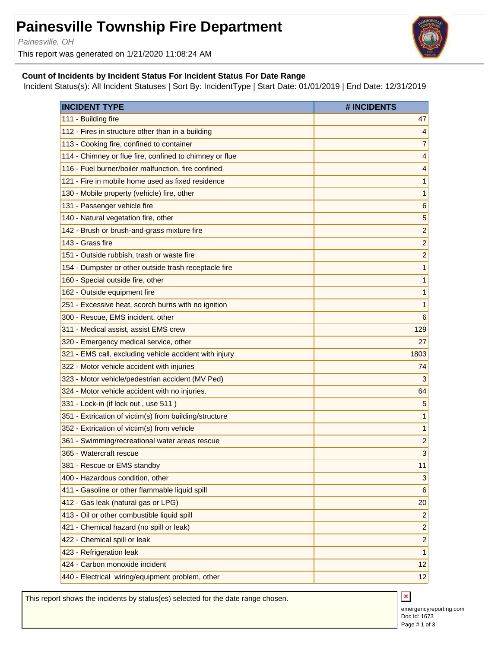## **Painesville Township Fire Department**

Painesville, OH

This report was generated on 1/21/2020 11:08:24 AM



## **Count of Incidents by Incident Status For Incident Status For Date Range**

Incident Status(s): All Incident Statuses | Sort By: IncidentType | Start Date: 01/01/2019 | End Date: 12/31/2019

| <b>INCIDENT TYPE</b>                                    | # INCIDENTS             |
|---------------------------------------------------------|-------------------------|
| 111 - Building fire                                     | 47                      |
| 112 - Fires in structure other than in a building       | $\overline{4}$          |
| 113 - Cooking fire, confined to container               | 7                       |
| 114 - Chimney or flue fire, confined to chimney or flue | 4                       |
| 116 - Fuel burner/boiler malfunction, fire confined     | 4                       |
| 121 - Fire in mobile home used as fixed residence       | 1                       |
| 130 - Mobile property (vehicle) fire, other             | 1                       |
| 131 - Passenger vehicle fire                            | $6\phantom{1}6$         |
| 140 - Natural vegetation fire, other                    | 5                       |
| 142 - Brush or brush-and-grass mixture fire             | $\overline{c}$          |
| 143 - Grass fire                                        | $\overline{c}$          |
| 151 - Outside rubbish, trash or waste fire              | $\overline{c}$          |
| 154 - Dumpster or other outside trash receptacle fire   | 1                       |
| 160 - Special outside fire, other                       | 1                       |
| 162 - Outside equipment fire                            | 1                       |
| 251 - Excessive heat, scorch burns with no ignition     | 1                       |
| 300 - Rescue, EMS incident, other                       | 6                       |
| 311 - Medical assist, assist EMS crew                   | 129                     |
| 320 - Emergency medical service, other                  | 27                      |
| 321 - EMS call, excluding vehicle accident with injury  | 1803                    |
| 322 - Motor vehicle accident with injuries              | 74                      |
| 323 - Motor vehicle/pedestrian accident (MV Ped)        | 3                       |
| 324 - Motor vehicle accident with no injuries.          | 64                      |
| 331 - Lock-in (if lock out, use 511)                    | 5                       |
| 351 - Extrication of victim(s) from building/structure  | 1                       |
| 352 - Extrication of victim(s) from vehicle             | 1                       |
| 361 - Swimming/recreational water areas rescue          | $\overline{c}$          |
| 365 - Watercraft rescue                                 | 3                       |
| 381 - Rescue or EMS standby                             | 11                      |
| 400 - Hazardous condition, other                        | 3                       |
| 411 - Gasoline or other flammable liquid spill          | $6\phantom{1}6$         |
| 412 - Gas leak (natural gas or LPG)                     | 20                      |
| 413 - Oil or other combustible liquid spill             | $\overline{c}$          |
| 421 - Chemical hazard (no spill or leak)                | $\overline{c}$          |
| 422 - Chemical spill or leak                            | $\overline{\mathbf{c}}$ |
| 423 - Refrigeration leak                                | 1                       |
| 424 - Carbon monoxide incident                          | 12                      |
| 440 - Electrical wiring/equipment problem, other        | 12                      |

This report shows the incidents by status(es) selected for the date range chosen.

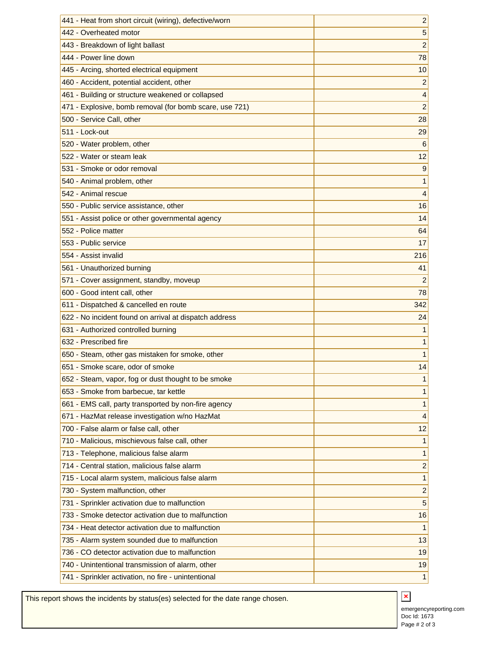| 441 - Heat from short circuit (wiring), defective/worn  | 2              |
|---------------------------------------------------------|----------------|
| 442 - Overheated motor                                  | 5              |
| 443 - Breakdown of light ballast                        | $\overline{c}$ |
| 444 - Power line down                                   | 78             |
| 445 - Arcing, shorted electrical equipment              | 10             |
| 460 - Accident, potential accident, other               | $\overline{2}$ |
| 461 - Building or structure weakened or collapsed       | 4              |
| 471 - Explosive, bomb removal (for bomb scare, use 721) | $\overline{2}$ |
| 500 - Service Call, other                               | 28             |
| 511 - Lock-out                                          | 29             |
| 520 - Water problem, other                              | 6              |
| 522 - Water or steam leak                               | 12             |
| 531 - Smoke or odor removal                             | 9              |
| 540 - Animal problem, other                             | 1              |
| 542 - Animal rescue                                     | 4              |
| 550 - Public service assistance, other                  | 16             |
| 551 - Assist police or other governmental agency        | 14             |
| 552 - Police matter                                     | 64             |
| 553 - Public service                                    | 17             |
| 554 - Assist invalid                                    | 216            |
| 561 - Unauthorized burning                              | 41             |
| 571 - Cover assignment, standby, moveup                 | 2              |
| 600 - Good intent call, other                           | 78             |
| 611 - Dispatched & cancelled en route                   | 342            |
| 622 - No incident found on arrival at dispatch address  | 24             |
| 631 - Authorized controlled burning                     | 1              |
| 632 - Prescribed fire                                   | 1              |
| 650 - Steam, other gas mistaken for smoke, other        | 1              |
| 651 - Smoke scare, odor of smoke                        | 14             |
| 652 - Steam, vapor, fog or dust thought to be smoke     | 1              |
| 653 - Smoke from barbecue, tar kettle                   | 1              |
| 661 - EMS call, party transported by non-fire agency    | 1              |
| 671 - HazMat release investigation w/no HazMat          | 4              |
| 700 - False alarm or false call, other                  | 12             |
| 710 - Malicious, mischievous false call, other          | 1              |
| 713 - Telephone, malicious false alarm                  | 1              |
| 714 - Central station, malicious false alarm            | $\overline{c}$ |
| 715 - Local alarm system, malicious false alarm         | 1              |
| 730 - System malfunction, other                         | $\overline{c}$ |
| 731 - Sprinkler activation due to malfunction           | 5              |
| 733 - Smoke detector activation due to malfunction      | 16             |
| 734 - Heat detector activation due to malfunction       | 1              |
| 735 - Alarm system sounded due to malfunction           | 13             |
| 736 - CO detector activation due to malfunction         | 19             |
| 740 - Unintentional transmission of alarm, other        | 19             |
| 741 - Sprinkler activation, no fire - unintentional     | 1              |
|                                                         |                |

This report shows the incidents by status(es) selected for the date range chosen.

 $\color{red} \mathbf{x}$ emergencyreporting.com Doc Id: 1673 Page # 2 of 3